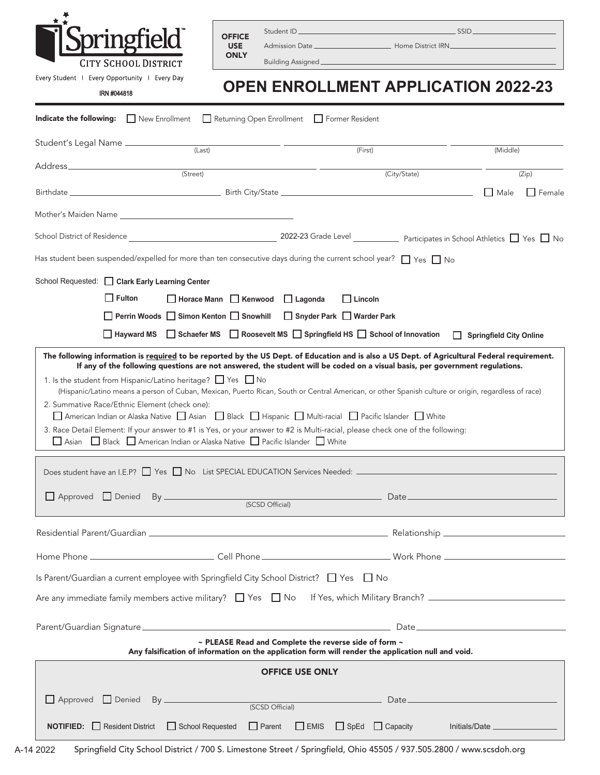

|               | Student ID | 55ID |
|---------------|------------|------|
| <b>OFFICE</b> |            |      |

Admission Date \_\_\_\_\_\_\_\_\_\_\_\_\_\_\_\_\_\_\_\_\_\_\_\_\_\_\_\_ Home District IRN\_

USE **ONLY** 

Every Student | Every Opportunity | Every Day

IRN #044818

Building Assigned

## **OPEN ENROLLMENT APPLICATION 2022-23**

| <b>Indicate the following:</b> New Enrollment <b>D</b> Returning Open Enrollment <b>D</b> Former Resident                                                                                                                                                                                                                                                                                                                                                                                                                                                                                                                                                                                                                                                                                                                                                                                                                                                |                                                                                   |  |                |                                |  |  |
|----------------------------------------------------------------------------------------------------------------------------------------------------------------------------------------------------------------------------------------------------------------------------------------------------------------------------------------------------------------------------------------------------------------------------------------------------------------------------------------------------------------------------------------------------------------------------------------------------------------------------------------------------------------------------------------------------------------------------------------------------------------------------------------------------------------------------------------------------------------------------------------------------------------------------------------------------------|-----------------------------------------------------------------------------------|--|----------------|--------------------------------|--|--|
|                                                                                                                                                                                                                                                                                                                                                                                                                                                                                                                                                                                                                                                                                                                                                                                                                                                                                                                                                          | (Last)                                                                            |  | (First)        | (Middle)                       |  |  |
|                                                                                                                                                                                                                                                                                                                                                                                                                                                                                                                                                                                                                                                                                                                                                                                                                                                                                                                                                          | (Street)                                                                          |  | (City/State)   | (Zip)                          |  |  |
|                                                                                                                                                                                                                                                                                                                                                                                                                                                                                                                                                                                                                                                                                                                                                                                                                                                                                                                                                          |                                                                                   |  |                | $\Box$ Male<br>$\Box$ Female   |  |  |
| Mother's Maiden Name                                                                                                                                                                                                                                                                                                                                                                                                                                                                                                                                                                                                                                                                                                                                                                                                                                                                                                                                     |                                                                                   |  |                |                                |  |  |
|                                                                                                                                                                                                                                                                                                                                                                                                                                                                                                                                                                                                                                                                                                                                                                                                                                                                                                                                                          |                                                                                   |  |                |                                |  |  |
| Has student been suspended/expelled for more than ten consecutive days during the current school year? $\Box$ Yes $\Box$ No                                                                                                                                                                                                                                                                                                                                                                                                                                                                                                                                                                                                                                                                                                                                                                                                                              |                                                                                   |  |                |                                |  |  |
| School Requested: Clark Early Learning Center                                                                                                                                                                                                                                                                                                                                                                                                                                                                                                                                                                                                                                                                                                                                                                                                                                                                                                            |                                                                                   |  |                |                                |  |  |
| $\Box$ Fulton                                                                                                                                                                                                                                                                                                                                                                                                                                                                                                                                                                                                                                                                                                                                                                                                                                                                                                                                            | □ Horace Mann □ Kenwood □ Lagonda                                                 |  | $\Box$ Lincoln |                                |  |  |
|                                                                                                                                                                                                                                                                                                                                                                                                                                                                                                                                                                                                                                                                                                                                                                                                                                                                                                                                                          | □ Perrin Woods □ Simon Kenton □ Snowhill □ Snyder Park □ Warder Park              |  |                |                                |  |  |
|                                                                                                                                                                                                                                                                                                                                                                                                                                                                                                                                                                                                                                                                                                                                                                                                                                                                                                                                                          | □ Hayward MS □ Schaefer MS □ Roosevelt MS □ Springfield HS □ School of Innovation |  |                | <b>Springfield City Online</b> |  |  |
| If any of the following questions are not answered, the student will be coded on a visual basis, per government regulations.<br>1. Is the student from Hispanic/Latino heritage? T Yes T No<br>(Hispanic/Latino means a person of Cuban, Mexican, Puerto Rican, South or Central American, or other Spanish culture or origin, regardless of race)<br>2. Summative Race/Ethnic Element (check one):<br>△ American Indian or Alaska Native △ Asian △ Black △ Hispanic △ Multi-racial △ Pacific Islander △ White<br>3. Race Detail Element: If your answer to #1 is Yes, or your answer to #2 is Multi-racial, please check one of the following:<br>Asian Black American Indian or Alaska Native Pacific Islander Nhite<br>Does student have an I.E.P? The The Thomas State SpECIAL EDUCATION Services Needed: The Theorem The Theorem The Theorem The Theorem The Theorem The Theorem The Theorem The Theorem The Theorem The Theorem The Theorem Theore |                                                                                   |  |                |                                |  |  |
|                                                                                                                                                                                                                                                                                                                                                                                                                                                                                                                                                                                                                                                                                                                                                                                                                                                                                                                                                          |                                                                                   |  |                |                                |  |  |
|                                                                                                                                                                                                                                                                                                                                                                                                                                                                                                                                                                                                                                                                                                                                                                                                                                                                                                                                                          |                                                                                   |  |                |                                |  |  |
|                                                                                                                                                                                                                                                                                                                                                                                                                                                                                                                                                                                                                                                                                                                                                                                                                                                                                                                                                          |                                                                                   |  |                |                                |  |  |
| Is Parent/Guardian a current employee with Springfield City School District? $\Box$ Yes $\Box$ No                                                                                                                                                                                                                                                                                                                                                                                                                                                                                                                                                                                                                                                                                                                                                                                                                                                        |                                                                                   |  |                |                                |  |  |
|                                                                                                                                                                                                                                                                                                                                                                                                                                                                                                                                                                                                                                                                                                                                                                                                                                                                                                                                                          |                                                                                   |  |                |                                |  |  |
|                                                                                                                                                                                                                                                                                                                                                                                                                                                                                                                                                                                                                                                                                                                                                                                                                                                                                                                                                          |                                                                                   |  |                |                                |  |  |
| ~ PLEASE Read and Complete the reverse side of form ~<br>Any falsification of information on the application form will render the application null and void.                                                                                                                                                                                                                                                                                                                                                                                                                                                                                                                                                                                                                                                                                                                                                                                             |                                                                                   |  |                |                                |  |  |
| <b>OFFICE USE ONLY</b>                                                                                                                                                                                                                                                                                                                                                                                                                                                                                                                                                                                                                                                                                                                                                                                                                                                                                                                                   |                                                                                   |  |                |                                |  |  |
| Approved Denied By ________________                                                                                                                                                                                                                                                                                                                                                                                                                                                                                                                                                                                                                                                                                                                                                                                                                                                                                                                      |                                                                                   |  |                | (SCSD Official) Date           |  |  |
| <b>NOTIFIED:</b> Resident District<br>$\Box$ School Requested $\Box$ Parent<br>□ EMIS □ SpEd □ Capacity Initials/Date <u>___________</u>                                                                                                                                                                                                                                                                                                                                                                                                                                                                                                                                                                                                                                                                                                                                                                                                                 |                                                                                   |  |                |                                |  |  |

Springfield City School District / 700 S. Limestone Street / Springfield, Ohio 45505 / 937.505.2800 / www.scsdoh.org A-14 2022